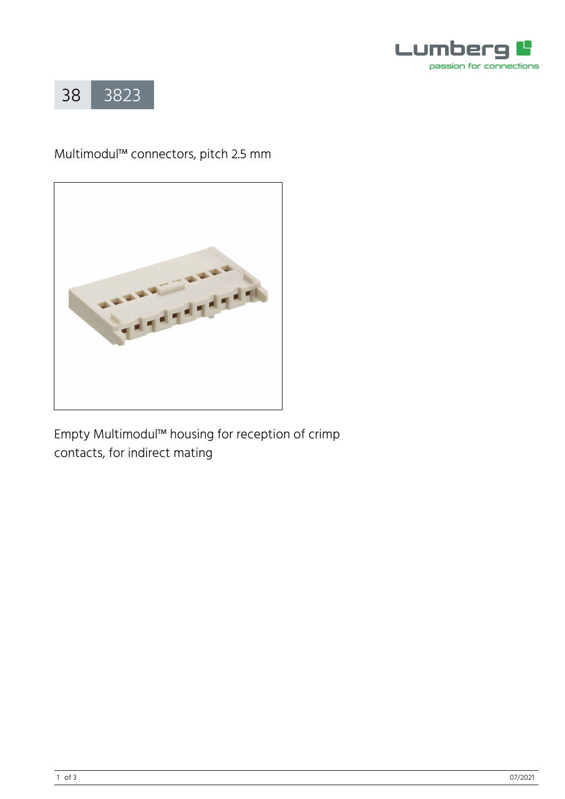



# Multimodul™ connectors, pitch 2.5 mm



Empty Multimodul™ housing for reception of crimp contacts, for indirect mating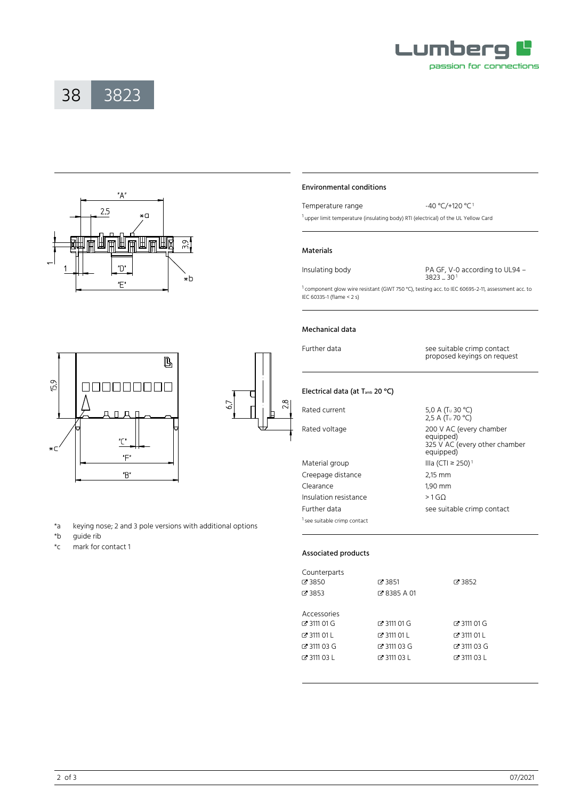





000000000

 $\Box$  $\Box$ 

 $\mathcal{C}$ 

"F" "B"



Temperature range  $-40 \text{ °C}$ /+120  $\text{ °C}$ <sup>1</sup>

<sup>1</sup> upper limit temperature (insulating body) RTI (electrical) of the UL Yellow Card

#### Materials

Insulating body PA GF, V-0 according to UL94 – 3823 ... 30<sup>1</sup>

<sup>1</sup> component glow wire resistant (GWT 750 °C), testing acc. to IEC 60695-2-11, assessment acc. to IEC 60335-1 (flame < 2 s)

# Mechanical data

Further data see suitable crimp contact proposed keyings on request

# Electrical data (at T<sub>amb</sub> 20 °C)

Material group  $IIIa (CTI \ge 250)^1$ Creepage distance 2,15 mm Clearance 1,90 mm Insulation resistance > 1 GΩ <sup>1</sup> see suitable crimp contact

Rated current  $5,0 \text{ A } (\text{T}_U 30 \text{ °C})$ 2,5 A (Tu 70 °C) Rated voltage 200 V AC (every chamber equipped) 325 V AC (every other chamber equipped) Further data see suitable crimp contact

\*a keying nose; 2 and 3 pole versions with additional options quide rib

L

\*c mark for contact 1

15.9

 $\star$ C

## Associated products

| Counterparts  |               |               |  |  |
|---------------|---------------|---------------|--|--|
| $C = 3850$    | Z 3851        | ■ 3852        |  |  |
| $C$ 3853      | Z 8385 A 01   |               |  |  |
|               |               |               |  |  |
| Accessories   |               |               |  |  |
| Z 3111 01 G   | Z 3111 01 G   | Z 3111 01 G   |  |  |
| $C$ 3111 01 L | $F$ 3111 01 1 | $C$ 3111 01 L |  |  |
| Z 3111 03 G   | Z 3111 03 G   | Z 3111 03 G   |  |  |
| $C$ 3111 03 L | $C$ 3111 03 L | $C$ 3111 03 L |  |  |
|               |               |               |  |  |